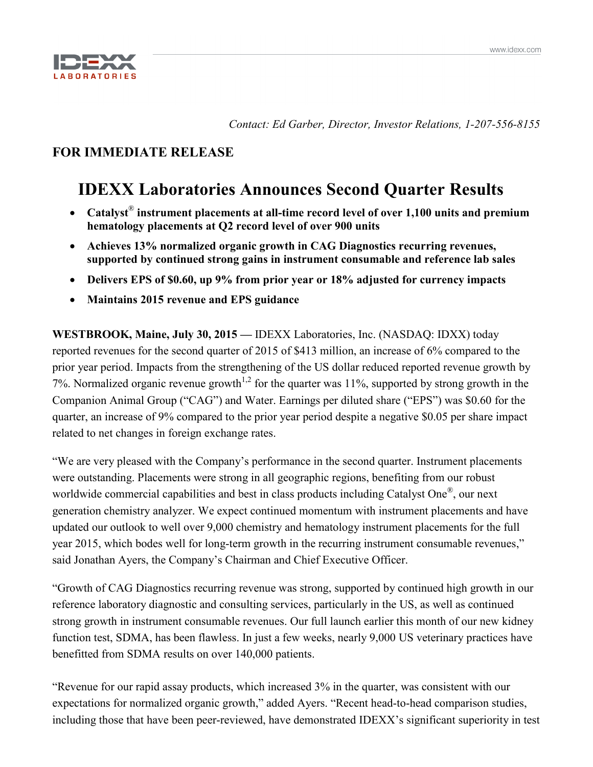

*Contact: Ed Garber, Director, Investor Relations, 1-207-556-8155*

# **FOR IMMEDIATE RELEASE**

# **IDEXX Laboratories Announces Second Quarter Results**

- **Catalyst**® **instrument placements at all-time record level of over 1,100 units and premium hematology placements at Q2 record level of over 900 units**
- **Achieves 13% normalized organic growth in CAG Diagnostics recurring revenues, supported by continued strong gains in instrument consumable and reference lab sales**
- **Delivers EPS of \$0.60, up 9% from prior year or 18% adjusted for currency impacts**
- **Maintains 2015 revenue and EPS guidance**

**WESTBROOK, Maine, July 30, 2015 —** IDEXX Laboratories, Inc. (NASDAQ: IDXX) today reported revenues for the second quarter of 2015 of \$413 million, an increase of 6% compared to the prior year period. Impacts from the strengthening of the US dollar reduced reported revenue growth by 7%. Normalized organic revenue growth<sup>1,2</sup> for the quarter was 11%, supported by strong growth in the Companion Animal Group ("CAG") and Water. Earnings per diluted share ("EPS") was \$0.60 for the quarter, an increase of 9% compared to the prior year period despite a negative \$0.05 per share impact related to net changes in foreign exchange rates.

"We are very pleased with the Company's performance in the second quarter. Instrument placements were outstanding. Placements were strong in all geographic regions, benefiting from our robust worldwide commercial capabilities and best in class products including Catalyst One<sup>®</sup>, our next generation chemistry analyzer. We expect continued momentum with instrument placements and have updated our outlook to well over 9,000 chemistry and hematology instrument placements for the full year 2015, which bodes well for long-term growth in the recurring instrument consumable revenues," said Jonathan Ayers, the Company's Chairman and Chief Executive Officer.

"Growth of CAG Diagnostics recurring revenue was strong, supported by continued high growth in our reference laboratory diagnostic and consulting services, particularly in the US, as well as continued strong growth in instrument consumable revenues. Our full launch earlier this month of our new kidney function test, SDMA, has been flawless. In just a few weeks, nearly 9,000 US veterinary practices have benefitted from SDMA results on over 140,000 patients.

"Revenue for our rapid assay products, which increased 3% in the quarter, was consistent with our expectations for normalized organic growth," added Ayers. "Recent head-to-head comparison studies, including those that have been peer-reviewed, have demonstrated IDEXX's significant superiority in test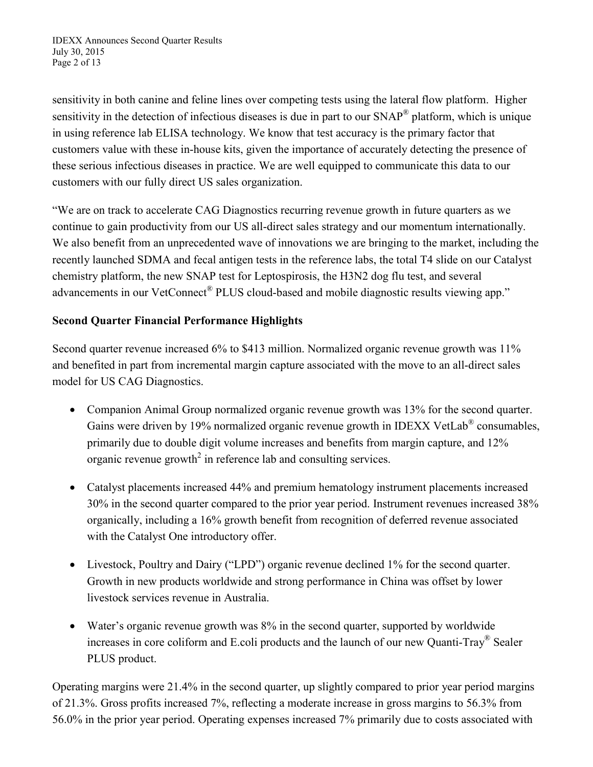IDEXX Announces Second Quarter Results July 30, 2015 Page 2 of 13

sensitivity in both canine and feline lines over competing tests using the lateral flow platform. Higher sensitivity in the detection of infectious diseases is due in part to our SNAP<sup>®</sup> platform, which is unique in using reference lab ELISA technology. We know that test accuracy is the primary factor that customers value with these in-house kits, given the importance of accurately detecting the presence of these serious infectious diseases in practice. We are well equipped to communicate this data to our customers with our fully direct US sales organization.

"We are on track to accelerate CAG Diagnostics recurring revenue growth in future quarters as we continue to gain productivity from our US all-direct sales strategy and our momentum internationally. We also benefit from an unprecedented wave of innovations we are bringing to the market, including the recently launched SDMA and fecal antigen tests in the reference labs, the total T4 slide on our Catalyst chemistry platform, the new SNAP test for Leptospirosis, the H3N2 dog flu test, and several advancements in our VetConnect<sup>®</sup> PLUS cloud-based and mobile diagnostic results viewing app."

# **Second Quarter Financial Performance Highlights**

Second quarter revenue increased 6% to \$413 million. Normalized organic revenue growth was 11% and benefited in part from incremental margin capture associated with the move to an all-direct sales model for US CAG Diagnostics.

- Companion Animal Group normalized organic revenue growth was 13% for the second quarter. Gains were driven by 19% normalized organic revenue growth in IDEXX VetLab<sup>®</sup> consumables, primarily due to double digit volume increases and benefits from margin capture, and 12% organic revenue growth<sup>2</sup> in reference lab and consulting services.
- Catalyst placements increased 44% and premium hematology instrument placements increased 30% in the second quarter compared to the prior year period. Instrument revenues increased 38% organically, including a 16% growth benefit from recognition of deferred revenue associated with the Catalyst One introductory offer.
- Livestock, Poultry and Dairy ("LPD") organic revenue declined 1% for the second quarter. Growth in new products worldwide and strong performance in China was offset by lower livestock services revenue in Australia.
- Water's organic revenue growth was 8% in the second quarter, supported by worldwide increases in core coliform and E.coli products and the launch of our new Quanti-Tray® Sealer PLUS product.

Operating margins were 21.4% in the second quarter, up slightly compared to prior year period margins of 21.3%. Gross profits increased 7%, reflecting a moderate increase in gross margins to 56.3% from 56.0% in the prior year period. Operating expenses increased 7% primarily due to costs associated with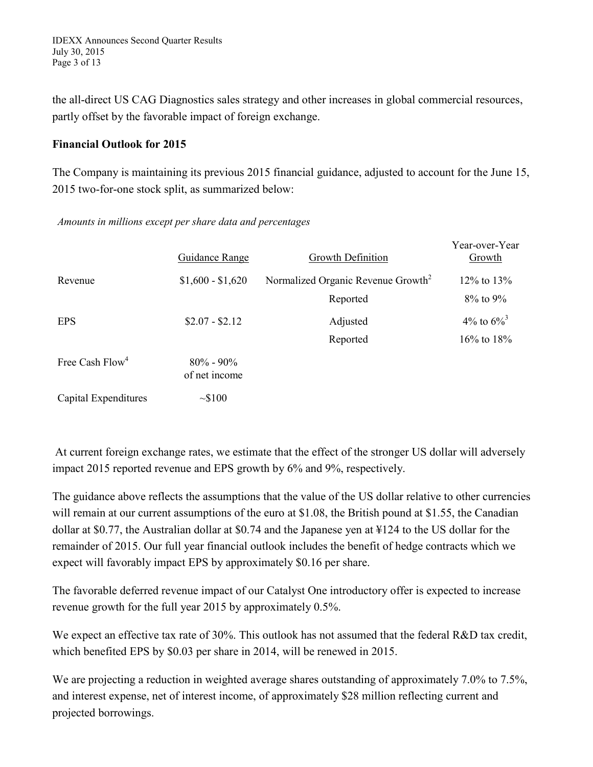IDEXX Announces Second Quarter Results July 30, 2015 Page 3 of 13

the all-direct US CAG Diagnostics sales strategy and other increases in global commercial resources, partly offset by the favorable impact of foreign exchange.

### **Financial Outlook for 2015**

The Company is maintaining its previous 2015 financial guidance, adjusted to account for the June 15, 2015 two-for-one stock split, as summarized below:

*Amounts in millions except per share data and percentages*

|                             | <b>Guidance Range</b>          | Growth Definition                              | Year-over-Year<br>Growth  |
|-----------------------------|--------------------------------|------------------------------------------------|---------------------------|
| Revenue                     | $$1,600 - $1,620$              | Normalized Organic Revenue Growth <sup>2</sup> | $12\%$ to $13\%$          |
|                             |                                | Reported                                       | $8\%$ to $9\%$            |
| <b>EPS</b>                  | $$2.07 - $2.12$                | Adjusted                                       | 4\% to $6\%$ <sup>3</sup> |
|                             |                                | Reported                                       | $16\%$ to $18\%$          |
| Free Cash Flow <sup>4</sup> | $80\% - 90\%$<br>of net income |                                                |                           |
| Capital Expenditures        | $\sim$ \$100                   |                                                |                           |

At current foreign exchange rates, we estimate that the effect of the stronger US dollar will adversely impact 2015 reported revenue and EPS growth by 6% and 9%, respectively.

The guidance above reflects the assumptions that the value of the US dollar relative to other currencies will remain at our current assumptions of the euro at \$1.08, the British pound at \$1.55, the Canadian dollar at \$0.77, the Australian dollar at \$0.74 and the Japanese yen at ¥124 to the US dollar for the remainder of 2015. Our full year financial outlook includes the benefit of hedge contracts which we expect will favorably impact EPS by approximately \$0.16 per share.

The favorable deferred revenue impact of our Catalyst One introductory offer is expected to increase revenue growth for the full year 2015 by approximately 0.5%.

We expect an effective tax rate of 30%. This outlook has not assumed that the federal R&D tax credit, which benefited EPS by \$0.03 per share in 2014, will be renewed in 2015.

We are projecting a reduction in weighted average shares outstanding of approximately 7.0% to 7.5%, and interest expense, net of interest income, of approximately \$28 million reflecting current and projected borrowings.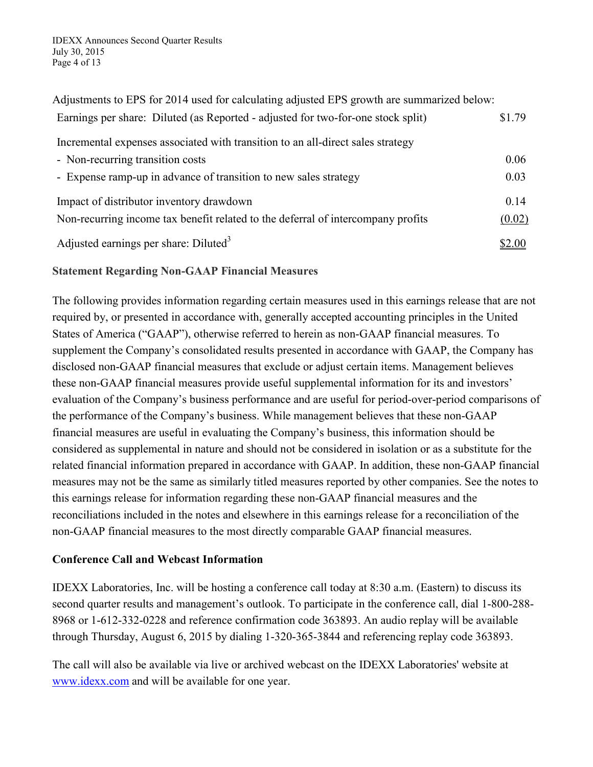| Adjustments to EPS for 2014 used for calculating adjusted EPS growth are summarized below: |        |
|--------------------------------------------------------------------------------------------|--------|
| Earnings per share: Diluted (as Reported - adjusted for two-for-one stock split)           | \$1.79 |
| Incremental expenses associated with transition to an all-direct sales strategy            |        |
| - Non-recurring transition costs                                                           | 0.06   |
| - Expense ramp-up in advance of transition to new sales strategy                           | 0.03   |
| Impact of distributor inventory drawdown                                                   | 0.14   |
| Non-recurring income tax benefit related to the deferral of intercompany profits           | (0.02) |
| Adjusted earnings per share: Diluted $3$                                                   | \$2.00 |

### **Statement Regarding Non-GAAP Financial Measures**

The following provides information regarding certain measures used in this earnings release that are not required by, or presented in accordance with, generally accepted accounting principles in the United States of America ("GAAP"), otherwise referred to herein as non-GAAP financial measures. To supplement the Company's consolidated results presented in accordance with GAAP, the Company has disclosed non-GAAP financial measures that exclude or adjust certain items. Management believes these non-GAAP financial measures provide useful supplemental information for its and investors' evaluation of the Company's business performance and are useful for period-over-period comparisons of the performance of the Company's business. While management believes that these non-GAAP financial measures are useful in evaluating the Company's business, this information should be considered as supplemental in nature and should not be considered in isolation or as a substitute for the related financial information prepared in accordance with GAAP. In addition, these non-GAAP financial measures may not be the same as similarly titled measures reported by other companies. See the notes to this earnings release for information regarding these non-GAAP financial measures and the reconciliations included in the notes and elsewhere in this earnings release for a reconciliation of the non-GAAP financial measures to the most directly comparable GAAP financial measures.

# **Conference Call and Webcast Information**

IDEXX Laboratories, Inc. will be hosting a conference call today at 8:30 a.m. (Eastern) to discuss its second quarter results and management's outlook. To participate in the conference call, dial 1-800-288- 8968 or 1-612-332-0228 and reference confirmation code 363893. An audio replay will be available through Thursday, August 6, 2015 by dialing 1-320-365-3844 and referencing replay code 363893.

The call will also be available via live or archived webcast on the IDEXX Laboratories' website at www.idexx.com and will be available for one year.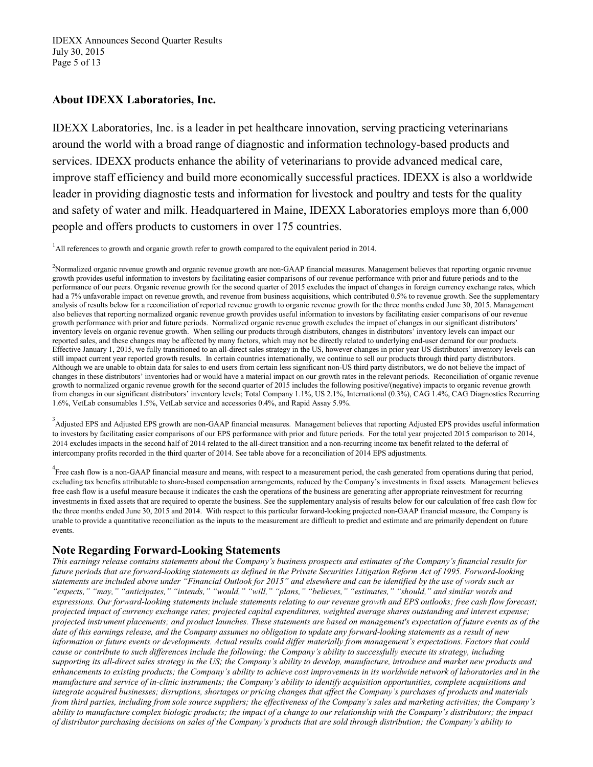IDEXX Announces Second Quarter Results July 30, 2015 Page 5 of 13

### **About IDEXX Laboratories, Inc.**

IDEXX Laboratories, Inc. is a leader in pet healthcare innovation, serving practicing veterinarians around the world with a broad range of diagnostic and information technology-based products and services. IDEXX products enhance the ability of veterinarians to provide advanced medical care, improve staff efficiency and build more economically successful practices. IDEXX is also a worldwide leader in providing diagnostic tests and information for livestock and poultry and tests for the quality and safety of water and milk. Headquartered in Maine, IDEXX Laboratories employs more than 6,000 people and offers products to customers in over 175 countries.

<sup>1</sup>All references to growth and organic growth refer to growth compared to the equivalent period in 2014.

<sup>3</sup> Adjusted EPS and Adjusted EPS growth are non-GAAP financial measures. Management believes that reporting Adjusted EPS provides useful information to investors by facilitating easier comparisons of our EPS performance with prior and future periods. For the total year projected 2015 comparison to 2014, 2014 excludes impacts in the second half of 2014 related to the all-direct transition and a non-recurring income tax benefit related to the deferral of intercompany profits recorded in the third quarter of 2014. See table above for a reconciliation of 2014 EPS adjustments.

<sup>4</sup><br>Free cash flow is a non-GAAP financial measure and means, with respect to a measurement period, the cash generated from operations during that period, excluding tax benefits attributable to share-based compensation arrangements, reduced by the Company's investments in fixed assets. Management believes free cash flow is a useful measure because it indicates the cash the operations of the business are generating after appropriate reinvestment for recurring investments in fixed assets that are required to operate the business. See the supplementary analysis of results below for our calculation of free cash flow for the three months ended June 30, 2015 and 2014. With respect to this particular forward-looking projected non-GAAP financial measure, the Company is unable to provide a quantitative reconciliation as the inputs to the measurement are difficult to predict and estimate and are primarily dependent on future events.

### **Note Regarding Forward-Looking Statements**

*This earnings release contains statements about the Company's business prospects and estimates of the Company's financial results for future periods that are forward-looking statements as defined in the Private Securities Litigation Reform Act of 1995. Forward-looking statements are included above under "Financial Outlook for 2015" and elsewhere and can be identified by the use of words such as "expects," "may," "anticipates," "intends," "would," "will," "plans," "believes," "estimates," "should," and similar words and expressions. Our forward-looking statements include statements relating to our revenue growth and EPS outlooks; free cash flow forecast; projected impact of currency exchange rates; projected capital expenditures, weighted average shares outstanding and interest expense; projected instrument placements; and product launches. These statements are based on management's expectation of future events as of the date of this earnings release, and the Company assumes no obligation to update any forward-looking statements as a result of new information or future events or developments. Actual results could differ materially from management's expectations. Factors that could cause or contribute to such differences include the following: the Company's ability to successfully execute its strategy, including supporting its all-direct sales strategy in the US; the Company's ability to develop, manufacture, introduce and market new products and enhancements to existing products; the Company's ability to achieve cost improvements in its worldwide network of laboratories and in the manufacture and service of in-clinic instruments; the Company's ability to identify acquisition opportunities, complete acquisitions and integrate acquired businesses; disruptions, shortages or pricing changes that affect the Company's purchases of products and materials from third parties, including from sole source suppliers; the effectiveness of the Company's sales and marketing activities; the Company's ability to manufacture complex biologic products; the impact of a change to our relationship with the Company's distributors; the impact of distributor purchasing decisions on sales of the Company's products that are sold through distribution; the Company's ability to* 

<sup>&</sup>lt;sup>2</sup>Normalized organic revenue growth and organic revenue growth are non-GAAP financial measures. Management believes that reporting organic revenue growth provides useful information to investors by facilitating easier comparisons of our revenue performance with prior and future periods and to the performance of our peers. Organic revenue growth for the second quarter of 2015 excludes the impact of changes in foreign currency exchange rates, which had a 7% unfavorable impact on revenue growth, and revenue from business acquisitions, which contributed 0.5% to revenue growth. See the supplementary analysis of results below for a reconciliation of reported revenue growth to organic revenue growth for the three months ended June 30, 2015. Management also believes that reporting normalized organic revenue growth provides useful information to investors by facilitating easier comparisons of our revenue growth performance with prior and future periods. Normalized organic revenue growth excludes the impact of changes in our significant distributors' inventory levels on organic revenue growth. When selling our products through distributors, changes in distributors' inventory levels can impact our reported sales, and these changes may be affected by many factors, which may not be directly related to underlying end-user demand for our products. Effective January 1, 2015, we fully transitioned to an all-direct sales strategy in the US, however changes in prior year US distributors' inventory levels can still impact current year reported growth results. In certain countries internationally, we continue to sell our products through third party distributors. Although we are unable to obtain data for sales to end users from certain less significant non-US third party distributors, we do not believe the impact of changes in these distributors' inventories had or would have a material impact on our growth rates in the relevant periods. Reconciliation of organic revenue growth to normalized organic revenue growth for the second quarter of 2015 includes the following positive/(negative) impacts to organic revenue growth from changes in our significant distributors' inventory levels; Total Company 1.1%, US 2.1%, International (0.3%), CAG 1.4%, CAG Diagnostics Recurring 1.6%, VetLab consumables 1.5%, VetLab service and accessories 0.4%, and Rapid Assay 5.9%.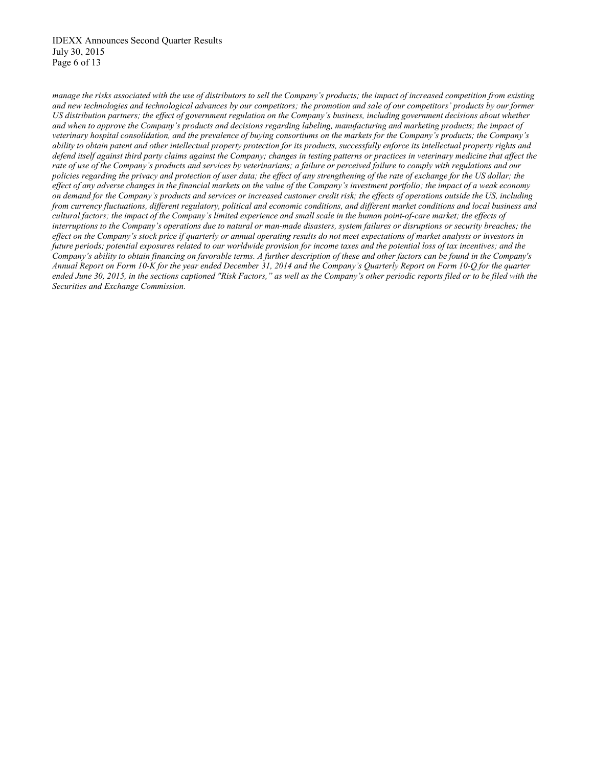*manage the risks associated with the use of distributors to sell the Company's products; the impact of increased competition from existing and new technologies and technological advances by our competitors; the promotion and sale of our competitors' products by our former US distribution partners; the effect of government regulation on the Company's business, including government decisions about whether and when to approve the Company's products and decisions regarding labeling, manufacturing and marketing products; the impact of veterinary hospital consolidation, and the prevalence of buying consortiums on the markets for the Company's products; the Company's ability to obtain patent and other intellectual property protection for its products, successfully enforce its intellectual property rights and defend itself against third party claims against the Company; changes in testing patterns or practices in veterinary medicine that affect the rate of use of the Company's products and services by veterinarians; a failure or perceived failure to comply with regulations and our policies regarding the privacy and protection of user data; the effect of any strengthening of the rate of exchange for the US dollar; the effect of any adverse changes in the financial markets on the value of the Company's investment portfolio; the impact of a weak economy on demand for the Company's products and services or increased customer credit risk; the effects of operations outside the US, including from currency fluctuations, different regulatory, political and economic conditions, and different market conditions and local business and cultural factors; the impact of the Company's limited experience and small scale in the human point-of-care market; the effects of interruptions to the Company's operations due to natural or man-made disasters, system failures or disruptions or security breaches; the effect on the Company's stock price if quarterly or annual operating results do not meet expectations of market analysts or investors in future periods; potential exposures related to our worldwide provision for income taxes and the potential loss of tax incentives; and the Company's ability to obtain financing on favorable terms. A further description of these and other factors can be found in the Company's Annual Report on Form 10-K for the year ended December 31, 2014 and the Company's Quarterly Report on Form 10-Q for the quarter ended June 30, 2015, in the sections captioned "Risk Factors," as well as the Company's other periodic reports filed or to be filed with the Securities and Exchange Commission.*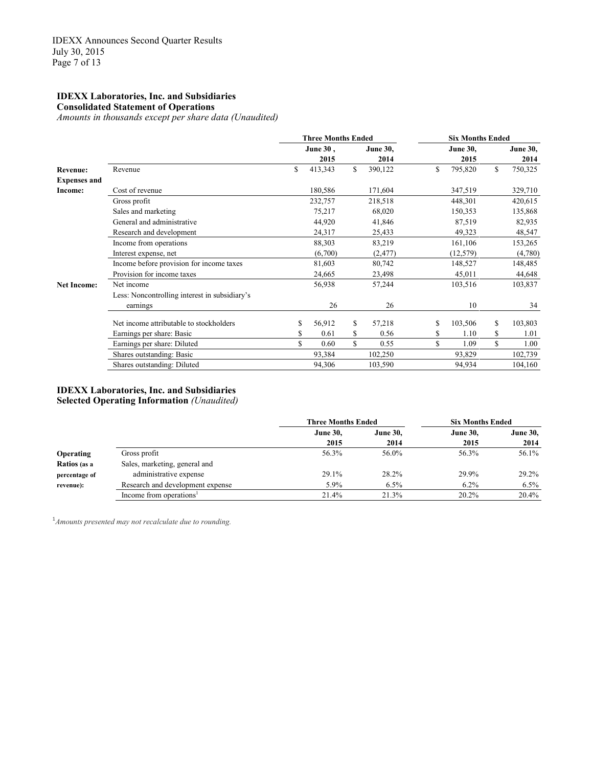#### **IDEXX Laboratories, Inc. and Subsidiaries Consolidated Statement of Operations**

*Amounts in thousands except per share data (Unaudited)*

|                     |                                               | <b>Three Months Ended</b> |                 |    | <b>Six Months Ended</b> |    |                 |  |  |  |
|---------------------|-----------------------------------------------|---------------------------|-----------------|----|-------------------------|----|-----------------|--|--|--|
|                     |                                               | June 30,                  | <b>June 30,</b> |    | <b>June 30,</b>         |    | <b>June 30,</b> |  |  |  |
|                     |                                               | 2015                      | 2014            |    | 2015                    |    | 2014            |  |  |  |
| <b>Revenue:</b>     | Revenue                                       | \$<br>413,343             | \$<br>390,122   | \$ | 795,820                 | \$ | 750,325         |  |  |  |
| <b>Expenses and</b> |                                               |                           |                 |    |                         |    |                 |  |  |  |
| Income:             | Cost of revenue                               | 180,586                   | 171,604         |    | 347,519                 |    | 329,710         |  |  |  |
|                     | Gross profit                                  | 232,757                   | 218,518         |    | 448,301                 |    | 420,615         |  |  |  |
|                     | Sales and marketing                           | 75,217                    | 68,020          |    | 150,353                 |    | 135,868         |  |  |  |
|                     | General and administrative                    | 44,920                    | 41,846          |    | 87,519                  |    | 82,935          |  |  |  |
|                     | Research and development                      | 24,317                    | 25,433          |    | 49,323                  |    | 48,547          |  |  |  |
|                     | Income from operations                        | 88,303                    | 83,219          |    | 161,106                 |    | 153,265         |  |  |  |
|                     | Interest expense, net                         | (6,700)                   | (2, 477)        |    | (12, 579)               |    | (4,780)         |  |  |  |
|                     | Income before provision for income taxes      | 81,603                    | 80,742          |    | 148,527                 |    | 148,485         |  |  |  |
|                     | Provision for income taxes                    | 24,665                    | 23,498          |    | 45,011                  |    | 44,648          |  |  |  |
| <b>Net Income:</b>  | Net income                                    | 56,938                    | 57,244          |    | 103,516                 |    | 103,837         |  |  |  |
|                     | Less: Noncontrolling interest in subsidiary's |                           |                 |    |                         |    |                 |  |  |  |
|                     | earnings                                      | 26                        | 26              |    | 10                      |    | 34              |  |  |  |
|                     | Net income attributable to stockholders       | 56,912                    | \$<br>57,218    | \$ | 103,506                 | \$ | 103,803         |  |  |  |
|                     | Earnings per share: Basic                     | 0.61                      | \$<br>0.56      | S. | 1.10                    | \$ | 1.01            |  |  |  |
|                     | Earnings per share: Diluted                   | \$<br>0.60                | \$<br>0.55      | \$ | 1.09                    | \$ | 1.00            |  |  |  |
|                     | Shares outstanding: Basic                     | 93,384                    | 102,250         |    | 93,829                  |    | 102,739         |  |  |  |
|                     | Shares outstanding: Diluted                   | 94,306                    | 103,590         |    | 94,934                  |    | 104,160         |  |  |  |

#### **IDEXX Laboratories, Inc. and Subsidiaries Selected Operating Information** *(Unaudited)*

|                  |                                     | <b>Three Months Ended</b> |                 | <b>Six Months Ended</b> |                 |  |
|------------------|-------------------------------------|---------------------------|-----------------|-------------------------|-----------------|--|
|                  |                                     | <b>June 30,</b>           | <b>June 30,</b> | <b>June 30,</b>         | <b>June 30,</b> |  |
|                  |                                     | 2015                      | 2014            | 2015                    | 2014            |  |
| <b>Operating</b> | Gross profit                        | 56.3%                     | 56.0%           | 56.3%                   | 56.1%           |  |
| Ratios (as a     | Sales, marketing, general and       |                           |                 |                         |                 |  |
| percentage of    | administrative expense              | 29.1%                     | 28.2%           | 29.9%                   | 29.2%           |  |
| revenue):        | Research and development expense    | 5.9%                      | $6.5\%$         | $6.2\%$                 | $6.5\%$         |  |
|                  | Income from operations <sup>1</sup> | 21.4%                     | 21.3%           | 20.2%                   | 20.4%           |  |

<sup>1</sup> Amounts presented may not recalculate due to rounding.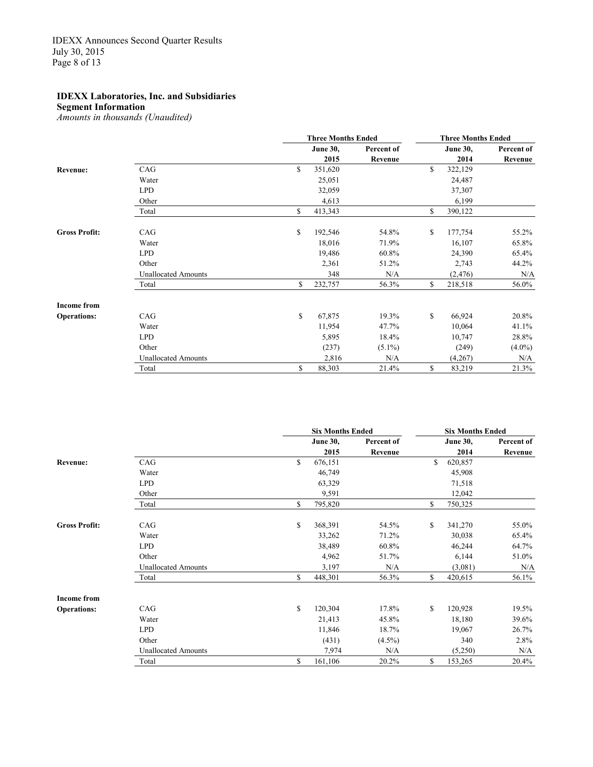**Segment Information**

*Amounts in thousands (Unaudited)*

|                      |                            | <b>Three Months Ended</b> | <b>Three Months Ended</b> |    |                 |            |
|----------------------|----------------------------|---------------------------|---------------------------|----|-----------------|------------|
|                      |                            | <b>June 30,</b>           | Percent of                |    | <b>June 30,</b> | Percent of |
|                      |                            | 2015                      | Revenue                   |    | 2014            | Revenue    |
| Revenue:             | CAG                        | \$<br>351,620             |                           | \$ | 322,129         |            |
|                      | Water                      | 25,051                    |                           |    | 24,487          |            |
|                      | <b>LPD</b>                 | 32,059                    |                           |    | 37,307          |            |
|                      | Other                      | 4,613                     |                           |    | 6,199           |            |
|                      | Total                      | \$<br>413,343             |                           | \$ | 390,122         |            |
| <b>Gross Profit:</b> | CAG                        | \$<br>192,546             | 54.8%                     | \$ | 177,754         | 55.2%      |
|                      | Water                      | 18,016                    | 71.9%                     |    | 16,107          | 65.8%      |
|                      | <b>LPD</b>                 | 19,486                    | 60.8%                     |    | 24,390          | 65.4%      |
|                      | Other                      | 2,361                     | 51.2%                     |    | 2,743           | 44.2%      |
|                      | <b>Unallocated Amounts</b> | 348                       | N/A                       |    | (2, 476)        | N/A        |
|                      | Total                      | \$<br>232,757             | 56.3%                     | \$ | 218,518         | 56.0%      |
| <b>Income from</b>   |                            |                           |                           |    |                 |            |
| <b>Operations:</b>   | CAG                        | \$<br>67,875              | 19.3%                     | \$ | 66,924          | 20.8%      |
|                      | Water                      | 11,954                    | 47.7%                     |    | 10,064          | 41.1%      |
|                      | <b>LPD</b>                 | 5,895                     | 18.4%                     |    | 10,747          | 28.8%      |
|                      | Other                      | (237)                     | $(5.1\%)$                 |    | (249)           | $(4.0\%)$  |
|                      | <b>Unallocated Amounts</b> | 2,816                     | N/A                       |    | (4,267)         | N/A        |
|                      | Total                      | \$<br>88,303              | 21.4%                     | \$ | 83,219          | 21.3%      |

|                      |                            |    | <b>Six Months Ended</b> | <b>Six Months Ended</b> |    |                 |            |
|----------------------|----------------------------|----|-------------------------|-------------------------|----|-----------------|------------|
|                      |                            |    | <b>June 30,</b>         | Percent of              |    | <b>June 30,</b> | Percent of |
|                      |                            |    | 2015                    | Revenue                 |    | 2014            | Revenue    |
| Revenue:             | CAG                        | \$ | 676,151                 |                         | \$ | 620,857         |            |
|                      | Water                      |    | 46,749                  |                         |    | 45,908          |            |
|                      | <b>LPD</b>                 |    | 63,329                  |                         |    | 71,518          |            |
|                      | Other                      |    | 9,591                   |                         |    | 12,042          |            |
|                      | Total                      | \$ | 795,820                 |                         | \$ | 750,325         |            |
| <b>Gross Profit:</b> | CAG                        | \$ | 368,391                 | 54.5%                   | \$ | 341,270         | 55.0%      |
|                      | Water                      |    | 33,262                  | 71.2%                   |    | 30,038          | 65.4%      |
|                      | <b>LPD</b>                 |    | 38,489                  | 60.8%                   |    | 46,244          | 64.7%      |
|                      | Other                      |    | 4,962                   | 51.7%                   |    | 6,144           | 51.0%      |
|                      | <b>Unallocated Amounts</b> |    | 3,197                   | N/A                     |    | (3,081)         | N/A        |
|                      | Total                      | S  | 448,301                 | 56.3%                   | \$ | 420,615         | 56.1%      |
| <b>Income from</b>   |                            |    |                         |                         |    |                 |            |
| <b>Operations:</b>   | CAG                        | \$ | 120,304                 | 17.8%                   | \$ | 120,928         | 19.5%      |
|                      | Water                      |    | 21,413                  | 45.8%                   |    | 18,180          | 39.6%      |
|                      | <b>LPD</b>                 |    | 11,846                  | 18.7%                   |    | 19,067          | 26.7%      |
|                      | Other                      |    | (431)                   | $(4.5\%)$               |    | 340             | 2.8%       |
|                      | <b>Unallocated Amounts</b> |    | 7,974                   | N/A                     |    | (5,250)         | N/A        |
|                      | Total                      | \$ | 161,106                 | 20.2%                   | \$ | 153,265         | 20.4%      |
|                      |                            |    |                         |                         |    |                 |            |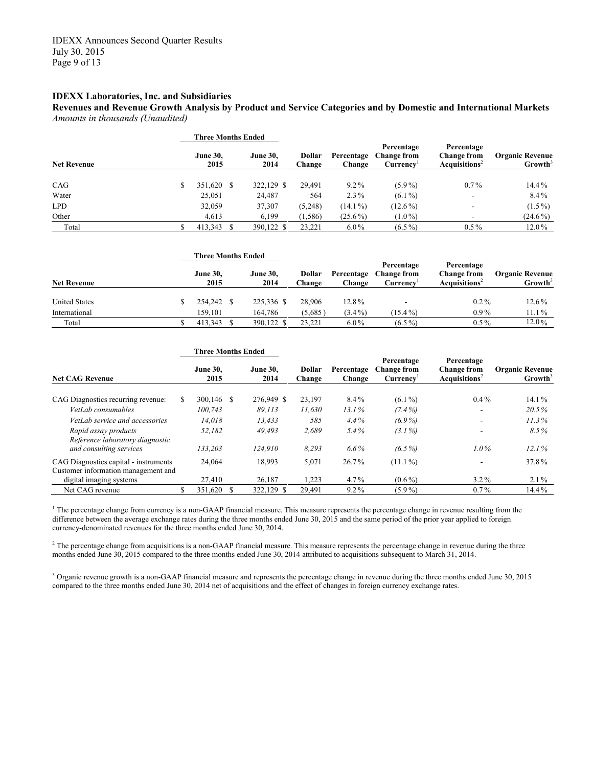**Revenues and Revenue Growth Analysis by Product and Service Categories and by Domestic and International Markets** *Amounts in thousands (Unaudited)*

|                    | <b>Three Months Ended</b> |                         |                         |                      |                                               |                                                              |                                               |
|--------------------|---------------------------|-------------------------|-------------------------|----------------------|-----------------------------------------------|--------------------------------------------------------------|-----------------------------------------------|
| <b>Net Revenue</b> | <b>June 30.</b><br>2015   | <b>June 30.</b><br>2014 | <b>Dollar</b><br>Change | Percentage<br>Change | Percentage<br><b>Change from</b><br>Currency' | Percentage<br><b>Change from</b><br>Acquistions <sup>2</sup> | <b>Organic Revenue</b><br>Growth <sup>3</sup> |
| CAG                | 351,620 \$                | 322,129 \$              | 29.491                  | $9.2\%$              | $(5.9\%)$                                     | $0.7\%$                                                      | 14.4%                                         |
| Water              | 25,051                    | 24,487                  | 564                     | $2.3\%$              | $(6.1\%)$                                     | $\overline{\phantom{a}}$                                     | 8.4%                                          |
| <b>LPD</b>         | 32,059                    | 37,307                  | (5,248)                 | $(14.1\%)$           | $(12.6\%)$                                    | $\overline{\phantom{a}}$                                     | $(1.5\%)$                                     |
| Other              | 4,613                     | 6,199                   | (1, 586)                | $(25.6\%)$           | $(1.0\%)$                                     | $\overline{\phantom{a}}$                                     | $(24.6\%)$                                    |
| Total              | 413,343                   | 390.122 \$              | 23.221                  | $6.0\%$              | $(6.5\%)$                                     | $0.5\%$                                                      | $12.0\%$                                      |

|                      | <b>Three Months Ended</b> |                         |                  |                      |                                              |                                                               |                                               |  |
|----------------------|---------------------------|-------------------------|------------------|----------------------|----------------------------------------------|---------------------------------------------------------------|-----------------------------------------------|--|
| <b>Net Revenue</b>   | <b>June 30,</b><br>2015   | <b>June 30.</b><br>2014 | Dollar<br>Change | Percentage<br>Change | Percentage<br><b>Change from</b><br>Currencv | Percentage<br><b>Change from</b><br>Acquisitions <sup>2</sup> | <b>Organic Revenue</b><br>Growth <sup>3</sup> |  |
| <b>United States</b> | 254,242 \$                | 225,336 \$              | 28.906           | 12.8%                | $\overline{\phantom{0}}$                     | $0.2\%$                                                       | $12.6\%$                                      |  |
| International        | 159.101                   | 164.786                 | (5,685)          | $(3.4\%)$            | $(15.4\%)$                                   | $0.9\%$                                                       | 11.1%                                         |  |
| Total                | 413.343                   | 390.122 \$              | 23.221           | $6.0\%$              | $(6.5\%)$                                    | $0.5\%$                                                       | 12.0%                                         |  |

|                                                                              | <b>Three Months Ended</b> |                         |  |                         |                         |                      |                                              |                                                               |                                               |
|------------------------------------------------------------------------------|---------------------------|-------------------------|--|-------------------------|-------------------------|----------------------|----------------------------------------------|---------------------------------------------------------------|-----------------------------------------------|
| <b>Net CAG Revenue</b>                                                       |                           | <b>June 30,</b><br>2015 |  | <b>June 30.</b><br>2014 | <b>Dollar</b><br>Change | Percentage<br>Change | Percentage<br><b>Change from</b><br>Currency | Percentage<br><b>Change from</b><br>Acquisitions <sup>2</sup> | <b>Organic Revenue</b><br>Growth <sup>3</sup> |
| CAG Diagnostics recurring revenue:                                           | S                         | $300,146$ \$            |  | 276,949 \$              | 23,197                  | $8.4\%$              | $(6.1\%)$                                    | $0.4\%$                                                       | 14.1%                                         |
| VetLab consumables                                                           |                           | 100.743                 |  | 89.113                  | 11,630                  | 13.1%                | $(7.4\%)$                                    | $\overline{\phantom{a}}$                                      | 20.5%                                         |
| VetLab service and accessories                                               |                           | 14.018                  |  | 13,433                  | 585                     | $4.4\%$              | $(6.9\%)$                                    | $\overline{\phantom{a}}$                                      | 11.3%                                         |
| Rapid assay products<br>Reference laboratory diagnostic                      |                           | 52,182                  |  | 49.493                  | 2,689                   | $5.4\%$              | $(3.1\%)$                                    | ۰                                                             | $8.5\%$                                       |
| and consulting services                                                      |                           | 133.203                 |  | 124.910                 | 8,293                   | $6.6\%$              | $(6.5\%)$                                    | $1.0\%$                                                       | 12.1%                                         |
| CAG Diagnostics capital - instruments<br>Customer information management and |                           | 24.064                  |  | 18,993                  | 5,071                   | $26.7\%$             | $(11.1\%)$                                   | ۰                                                             | 37.8%                                         |
| digital imaging systems                                                      |                           | 27,410                  |  | 26,187                  | 1,223                   | $4.7\%$              | $(0.6\%)$                                    | $3.2\%$                                                       | $2.1\%$                                       |
| Net CAG revenue                                                              | ъ                         | 351,620 \$              |  | 322,129 \$              | 29,491                  | $9.2\%$              | $(5.9\%)$                                    | $0.7\%$                                                       | 14.4%                                         |

<sup>1</sup> The percentage change from currency is a non-GAAP financial measure. This measure represents the percentage change in revenue resulting from the difference between the average exchange rates during the three months ended June 30, 2015 and the same period of the prior year applied to foreign currency-denominated revenues for the three months ended June 30, 2014.

<sup>2</sup> The percentage change from acquisitions is a non-GAAP financial measure. This measure represents the percentage change in revenue during the three months ended June 30, 2015 compared to the three months ended June 30, 2014 attributed to acquisitions subsequent to March 31, 2014.

<sup>3</sup> Organic revenue growth is a non-GAAP financial measure and represents the percentage change in revenue during the three months ended June 30, 2015 compared to the three months ended June 30, 2014 net of acquisitions and the effect of changes in foreign currency exchange rates.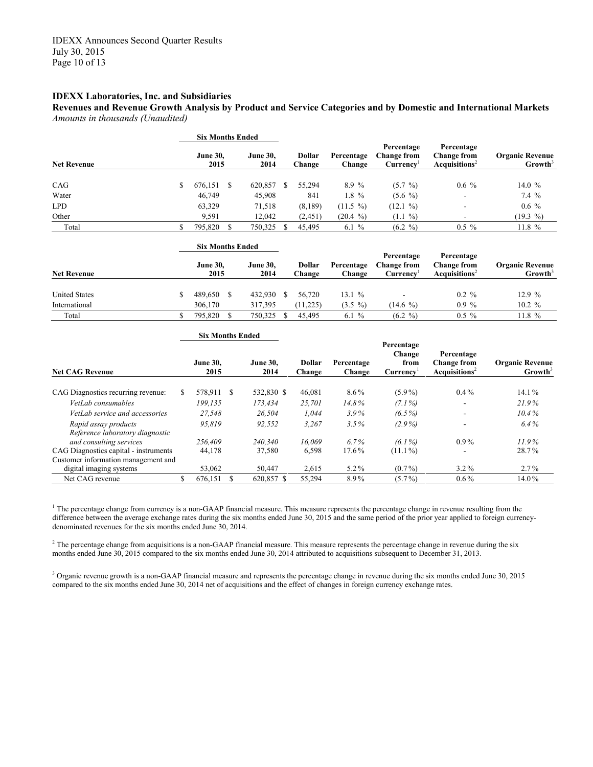**Revenues and Revenue Growth Analysis by Product and Service Categories and by Domestic and International Markets** *Amounts in thousands (Unaudited)*

|                    | <b>Six Months Ended</b> |  |                         |  |                  |                      |                                              |                                                               |                                               |  |
|--------------------|-------------------------|--|-------------------------|--|------------------|----------------------|----------------------------------------------|---------------------------------------------------------------|-----------------------------------------------|--|
| <b>Net Revenue</b> | <b>June 30.</b><br>2015 |  | <b>June 30.</b><br>2014 |  | Dollar<br>Change | Percentage<br>Change | Percentage<br><b>Change from</b><br>Currency | Percentage<br><b>Change from</b><br>Acquisitions <sup>2</sup> | <b>Organic Revenue</b><br>Growth <sup>3</sup> |  |
| CAG                | 676,151                 |  | 620,857                 |  | 55,294           | 8.9 %                | $(5.7 \%)$                                   | $0.6\%$                                                       | 14.0 $%$                                      |  |
| Water              | 46,749                  |  | 45,908                  |  | 841              | $1.8 \%$             | $(5.6\%)$                                    | $\overline{\phantom{a}}$                                      | 7.4%                                          |  |
| <b>LPD</b>         | 63,329                  |  | 71,518                  |  | (8,189)          | $(11.5 \%)$          | $(12.1 \%)$                                  |                                                               | $0.6\%$                                       |  |
| Other              | 9,591                   |  | 12,042                  |  | (2, 451)         | $(20.4 \%)$          | $(1.1 \%)$                                   |                                                               | (19.3 %)                                      |  |
| Total              | 795,820                 |  | 750,325                 |  | 45.495           | 6.1%                 | $(6.2 \%)$                                   | $0.5 \%$                                                      | 11.8%                                         |  |

|                      | <b>Six Months Ended</b> |                         |  |                  |                      |                                              |                                                        |                                               |
|----------------------|-------------------------|-------------------------|--|------------------|----------------------|----------------------------------------------|--------------------------------------------------------|-----------------------------------------------|
| <b>Net Revenue</b>   | <b>June 30,</b><br>2015 | <b>June 30.</b><br>2014 |  | Dollar<br>Change | Percentage<br>Change | Percentage<br><b>Change from</b><br>Currencv | Percentage<br>Change from<br>Acquisitions <sup>2</sup> | <b>Organic Revenue</b><br>Growth <sup>3</sup> |
| <b>United States</b> | 489.650                 | 432,930                 |  | 56.720           | 13.1 $%$             |                                              | $0.2 \%$                                               | 12.9%                                         |
| International        | 306.170                 | 317.395                 |  | (11,225)         | $(3.5 \%)$           | $(14.6\%$                                    | $0.9\%$                                                | $10.2 \%$                                     |
| Total                | 795.820                 | 750,325                 |  | 45.495           | 6.1 $%$              | $(6.2 \%)$                                   | $0.5 \%$                                               | $11.8 \%$                                     |

|                                                         |   | <b>Six Months Ended</b> |  |                         |                  |                      |                                                       |                                                              |                                               |
|---------------------------------------------------------|---|-------------------------|--|-------------------------|------------------|----------------------|-------------------------------------------------------|--------------------------------------------------------------|-----------------------------------------------|
| <b>Net CAG Revenue</b>                                  |   | <b>June 30.</b><br>2015 |  | <b>June 30.</b><br>2014 | Dollar<br>Change | Percentage<br>Change | Percentage<br>Change<br>from<br>Currency <sup>'</sup> | Percentage<br><b>Change from</b><br>Acquistions <sup>2</sup> | <b>Organic Revenue</b><br>Growth <sup>3</sup> |
| CAG Diagnostics recurring revenue:                      |   | 578.911 \$              |  | 532,830 \$              | 46,081           | $8.6\%$              | $(5.9\%)$                                             | $0.4\%$                                                      | $14.1\%$                                      |
| VetLab consumables                                      |   | 199.135                 |  | 173.434                 | 25,701           | 14.8%                | $(7.1\%)$                                             | $\overline{\phantom{a}}$                                     | 21.9%                                         |
| VetLab service and accessories                          |   | 27.548                  |  | 26.504                  | 1.044            | $3.9\%$              | $(6.5\%)$                                             | $\overline{\phantom{a}}$                                     | 10.4%                                         |
| Rapid assay products<br>Reference laboratory diagnostic |   | 95.819                  |  | 92,552                  | 3,267            | $3.5\%$              | $(2.9\%)$                                             | $\overline{\phantom{a}}$                                     | $6.4\%$                                       |
| and consulting services                                 |   | 256.409                 |  | 240.340                 | 16.069           | $6.7\%$              | $(6.1\%)$                                             | $0.9\%$                                                      | $11.9\%$                                      |
| CAG Diagnostics capital - instruments                   |   | 44,178                  |  | 37,580                  | 6,598            | 17.6%                | $(11.1\%)$                                            |                                                              | 28.7%                                         |
| Customer information management and                     |   |                         |  |                         |                  |                      |                                                       |                                                              |                                               |
| digital imaging systems                                 |   | 53,062                  |  | 50,447                  | 2,615            | $5.2\%$              | $(0.7\%)$                                             | $3.2\%$                                                      | $2.7\%$                                       |
| Net CAG revenue                                         | S | 676,151                 |  | 620,857 \$              | 55,294           | 8.9%                 | $(5.7\%)$                                             | $0.6\%$                                                      | 14.0%                                         |

 $1$  The percentage change from currency is a non-GAAP financial measure. This measure represents the percentage change in revenue resulting from the difference between the average exchange rates during the six months ended June 30, 2015 and the same period of the prior year applied to foreign currencydenominated revenues for the six months ended June 30, 2014.

<sup>2</sup> The percentage change from acquisitions is a non-GAAP financial measure. This measure represents the percentage change in revenue during the six months ended June 30, 2015 compared to the six months ended June 30, 2014 attributed to acquisitions subsequent to December 31, 2013.

<sup>3</sup> Organic revenue growth is a non-GAAP financial measure and represents the percentage change in revenue during the six months ended June 30, 2015 compared to the six months ended June 30, 2014 net of acquisitions and the effect of changes in foreign currency exchange rates.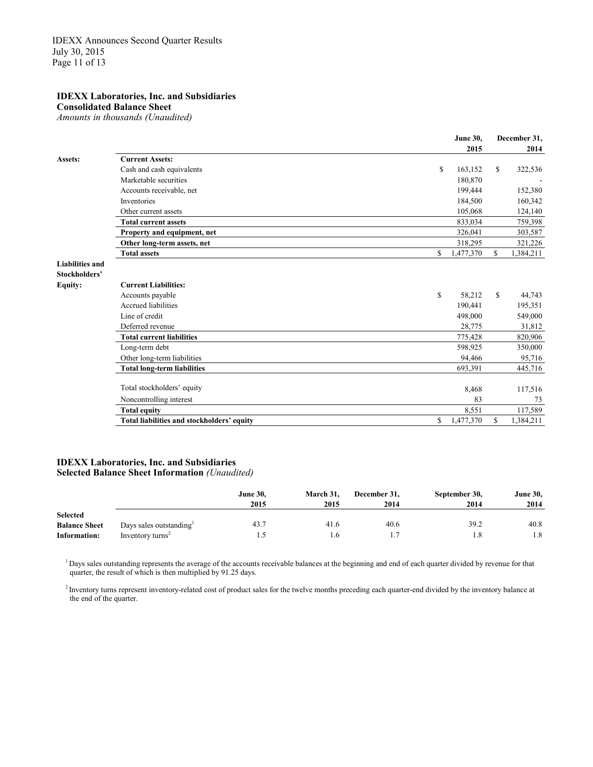**Consolidated Balance Sheet**

*Amounts in thousands (Unaudited)*

|                        |                                            | 2015            |              | 2014      |
|------------------------|--------------------------------------------|-----------------|--------------|-----------|
| Assets:                | <b>Current Assets:</b>                     |                 |              |           |
|                        | Cash and cash equivalents                  | \$<br>163,152   | $\mathbb{S}$ | 322,536   |
|                        | Marketable securities                      | 180,870         |              |           |
|                        | Accounts receivable, net                   | 199,444         |              | 152,380   |
|                        | Inventories                                | 184,500         |              | 160,342   |
|                        | Other current assets                       | 105,068         |              | 124,140   |
|                        | <b>Total current assets</b>                | 833,034         |              | 759,398   |
|                        | Property and equipment, net                | 326,041         |              | 303,587   |
|                        | Other long-term assets, net                | 318,295         |              | 321,226   |
|                        | <b>Total assets</b>                        | \$<br>1,477,370 | S            | 1,384,211 |
| <b>Liabilities and</b> |                                            |                 |              |           |
| Stockholders'          |                                            |                 |              |           |
| <b>Equity:</b>         | <b>Current Liabilities:</b>                |                 |              |           |
|                        | Accounts payable                           | \$<br>58,212    | $\mathbf S$  | 44,743    |
|                        | Accrued liabilities                        | 190,441         |              | 195,351   |
|                        | Line of credit                             | 498,000         |              | 549,000   |
|                        | Deferred revenue                           | 28,775          |              | 31,812    |
|                        | <b>Total current liabilities</b>           | 775,428         |              | 820,906   |
|                        | Long-term debt                             | 598,925         |              | 350,000   |
|                        | Other long-term liabilities                | 94,466          |              | 95,716    |
|                        | <b>Total long-term liabilities</b>         | 693,391         |              | 445,716   |
|                        | Total stockholders' equity                 | 8,468           |              | 117,516   |
|                        | Noncontrolling interest                    | 83              |              | 73        |
|                        | <b>Total equity</b>                        | 8,551           |              | 117,589   |
|                        | Total liabilities and stockholders' equity | \$<br>1,477,370 | \$           | 1,384,211 |
|                        |                                            |                 |              |           |

**June 30, December 31,**

#### **IDEXX Laboratories, Inc. and Subsidiaries Selected Balance Sheet Information** *(Unaudited)*

|                      |                              | <b>June 30,</b> | March 31. | December 31. | September 30, | <b>June 30,</b> |
|----------------------|------------------------------|-----------------|-----------|--------------|---------------|-----------------|
|                      |                              | 2015            | 2015      | 2014         | 2014          | 2014            |
| <b>Selected</b>      |                              |                 |           |              |               |                 |
| <b>Balance Sheet</b> | Days sales outstanding       | 43.7            | 41.6      | 40.6         | 39.2          | 40.8            |
| Information:         | Inventory turns <sup>2</sup> |                 | 1.6       |              | 1.8           | 1.8             |

<sup>1</sup> Days sales outstanding represents the average of the accounts receivable balances at the beginning and end of each quarter divided by revenue for that quarter, the result of which is then multiplied by 91.25 days.

<sup>2</sup> Inventory turns represent inventory-related cost of product sales for the twelve months preceding each quarter-end divided by the inventory balance at the end of the quarter.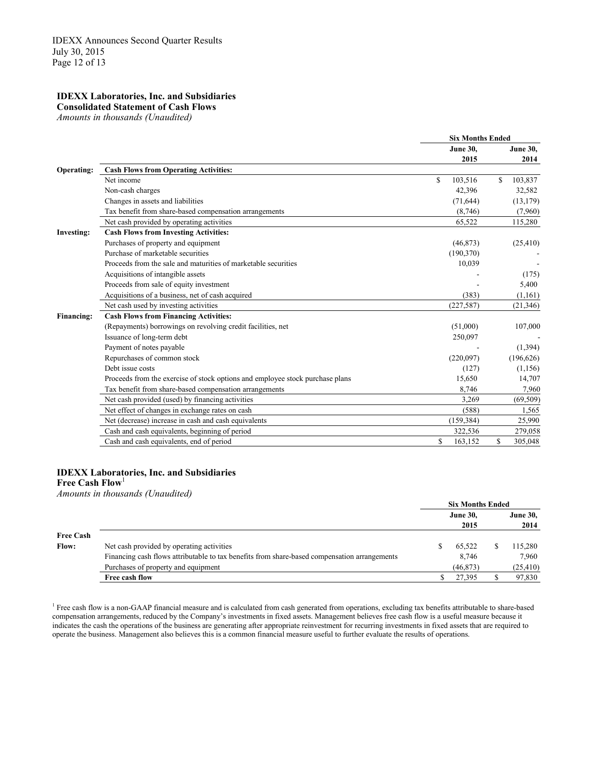**Consolidated Statement of Cash Flows** 

*Amounts in thousands (Unaudited)*

|                   |                                                                               |    | <b>Six Months Ended</b> |    |                 |
|-------------------|-------------------------------------------------------------------------------|----|-------------------------|----|-----------------|
|                   |                                                                               |    | <b>June 30,</b>         |    | <b>June 30,</b> |
|                   |                                                                               |    | 2015                    |    | 2014            |
| Operating:        | <b>Cash Flows from Operating Activities:</b>                                  |    |                         |    |                 |
|                   | Net income                                                                    | \$ | 103,516                 | \$ | 103,837         |
|                   | Non-cash charges                                                              |    | 42,396                  |    | 32,582          |
|                   | Changes in assets and liabilities                                             |    | (71, 644)               |    | (13, 179)       |
|                   | Tax benefit from share-based compensation arrangements                        |    | (8,746)                 |    | (7,960)         |
|                   | Net cash provided by operating activities                                     |    | 65,522                  |    | 115,280         |
| <b>Investing:</b> | <b>Cash Flows from Investing Activities:</b>                                  |    |                         |    |                 |
|                   | Purchases of property and equipment                                           |    | (46, 873)               |    | (25, 410)       |
|                   | Purchase of marketable securities                                             |    | (190,370)               |    |                 |
|                   | Proceeds from the sale and maturities of marketable securities                |    | 10,039                  |    |                 |
|                   | Acquisitions of intangible assets                                             |    |                         |    | (175)           |
|                   | Proceeds from sale of equity investment                                       |    |                         |    | 5,400           |
|                   | Acquisitions of a business, net of cash acquired                              |    | (383)                   |    | (1,161)         |
|                   | Net cash used by investing activities                                         |    | (227, 587)              |    | (21, 346)       |
| <b>Financing:</b> | <b>Cash Flows from Financing Activities:</b>                                  |    |                         |    |                 |
|                   | (Repayments) borrowings on revolving credit facilities, net                   |    | (51,000)                |    | 107,000         |
|                   | Issuance of long-term debt                                                    |    | 250,097                 |    |                 |
|                   | Payment of notes payable                                                      |    |                         |    | (1,394)         |
|                   | Repurchases of common stock                                                   |    | (220,097)               |    | (196, 626)      |
|                   | Debt issue costs                                                              |    | (127)                   |    | (1,156)         |
|                   | Proceeds from the exercise of stock options and employee stock purchase plans |    | 15,650                  |    | 14,707          |
|                   | Tax benefit from share-based compensation arrangements                        |    | 8,746                   |    | 7,960           |
|                   | Net cash provided (used) by financing activities                              |    | 3,269                   |    | (69, 509)       |
|                   | Net effect of changes in exchange rates on cash                               |    | (588)                   |    | 1,565           |
|                   | Net (decrease) increase in cash and cash equivalents                          |    | (159, 384)              |    | 25,990          |
|                   | Cash and cash equivalents, beginning of period                                |    | 322,536                 |    | 279,058         |
|                   | Cash and cash equivalents, end of period                                      | S  | 163,152                 | \$ | 305,048         |

#### **IDEXX Laboratories, Inc. and Subsidiaries**

**Free Cash Flow**<sup>1</sup>

*Amounts in thousands (Unaudited)*

|                  |                                                                                              | <b>Six Months Ended</b> |                 |  |                 |
|------------------|----------------------------------------------------------------------------------------------|-------------------------|-----------------|--|-----------------|
|                  |                                                                                              |                         | <b>June 30,</b> |  | <b>June 30,</b> |
|                  |                                                                                              |                         | 2015            |  | 2014            |
| <b>Free Cash</b> |                                                                                              |                         |                 |  |                 |
| <b>Flow:</b>     | Net cash provided by operating activities                                                    |                         | 65,522          |  | 115,280         |
|                  | Financing cash flows attributable to tax benefits from share-based compensation arrangements |                         | 8,746           |  | 7.960           |
|                  | Purchases of property and equipment                                                          |                         | (46, 873)       |  | (25, 410)       |
|                  | Free cash flow                                                                               |                         | 27,395          |  | 97,830          |

<sup>1</sup> Free cash flow is a non-GAAP financial measure and is calculated from cash generated from operations, excluding tax benefits attributable to share-based compensation arrangements, reduced by the Company's investments in fixed assets. Management believes free cash flow is a useful measure because it indicates the cash the operations of the business are generating after appropriate reinvestment for recurring investments in fixed assets that are required to operate the business. Management also believes this is a common financial measure useful to further evaluate the results of operations.